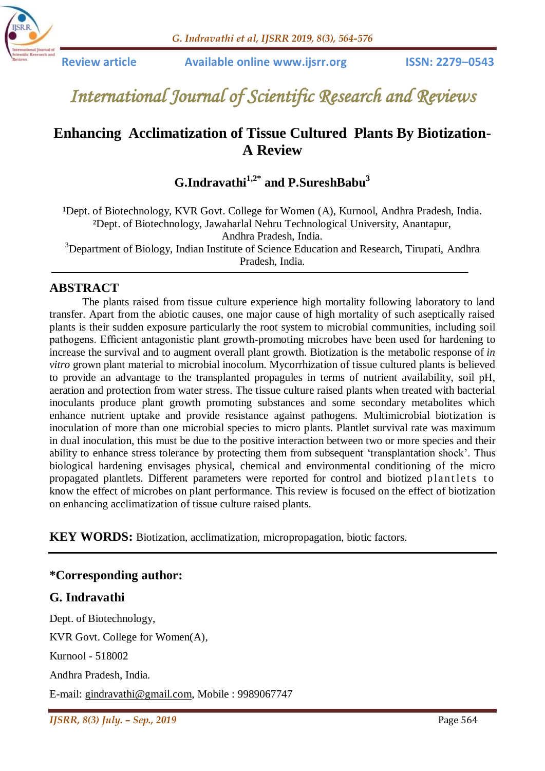

*International Journal of Scientific Research and Reviews*

## **Enhancing Acclimatization of Tissue Cultured Plants By Biotization-A Review**

# **G.Indravathi1,2\* and P.SureshBabu<sup>3</sup>**

<sup>1</sup>Dept. of Biotechnology, KVR Govt. College for Women (A), Kurnool, Andhra Pradesh, India. ²Dept. of Biotechnology, Jawaharlal Nehru Technological University, Anantapur, Andhra Pradesh, India. <sup>3</sup>Department of Biology, Indian Institute of Science Education and Research, Tirupati, Andhra Pradesh, India.

#### **ABSTRACT**

The plants raised from tissue culture experience high mortality following laboratory to land transfer. Apart from the abiotic causes, one major cause of high mortality of such aseptically raised plants is their sudden exposure particularly the root system to microbial communities, including soil pathogens. Efficient antagonistic plant growth-promoting microbes have been used for hardening to increase the survival and to augment overall plant growth. Biotization is the metabolic response of *in vitro* grown plant material to [microbial inoc](https://www.google.co.in/search?sxsrf=ACYBGNQROmqT1ldbZ-9qOJg7j0FbUDA8LQ:1570248422910&q=microbial+no&spell=1&sa=X&ved=0ahUKEwjXo9Obn4TlAhVIeysKHbFBD68QBQguKAA)olum. Mycorrhization of tissue cultured plants is believed to provide an advantage to the transplanted propagules in terms of nutrient availability, soil pH, aeration and protection from water stress. The tissue culture raised plants when treated with bacterial inoculants produce plant growth promoting substances and some secondary metabolites which enhance nutrient uptake and provide resistance against pathogens. Multimicrobial biotization is inoculation of more than one microbial species to micro plants. Plantlet survival rate was maximum in dual inoculation, this must be due to the positive interaction between two or more species and their ability to [enhance stress tolerance](https://www.google.co.in/search?sxsrf=ACYBGNTsQPa22zUB5t0F6mI3CZh7--PJbg:1570248285489&q=enhance+stress+tolerance&spell=1&sa=X&ved=0ahUKEwjq4o_anoTlAhWVb30KHaaMDOsQBQguKAA) by protecting them from subsequent 'transplantation shock'. Thus biological hardening envisages physical, chemical and environmental conditioning of the micro propagated plantlets. Different parameters were reported for control and biotized plantlets to know the effect of microbes on plant performance. This review is focused on the effect of biotization on enhancing acclimatization of tissue culture raised plants.

**KEY WORDS:** Biotization, acclimatization, micropropagation, biotic factors.

#### **\*Corresponding author:**

#### **G. Indravathi**

Dept. of Biotechnology, KVR Govt. College for Women(A), Kurnool - 518002 Andhra Pradesh, India*.* E-mail: [gindravathi@gmail.com,](mailto:gindravathi@gmail.com) Mobile : 9989067747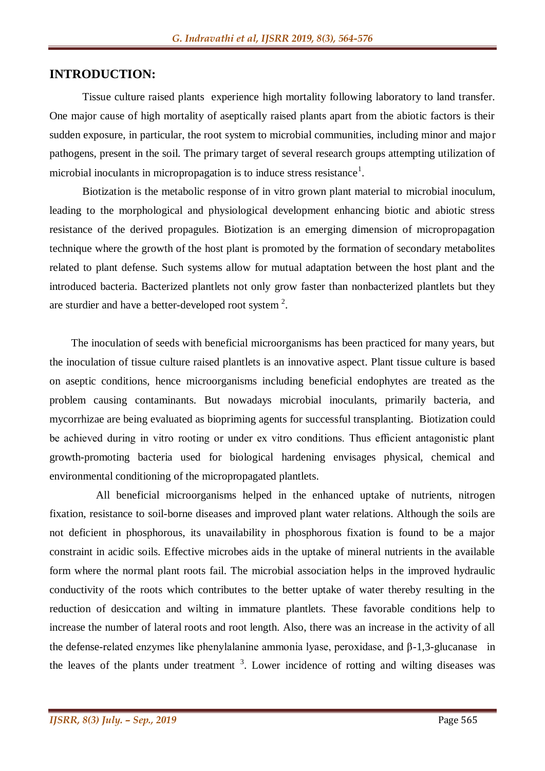#### **INTRODUCTION:**

Tissue culture raised plants experience high mortality following laboratory to land transfer. One major cause of high mortality of aseptically raised plants apart from the abiotic factors is their sudden exposure, in particular, the root system to microbial communities, including minor and major pathogens, present in the soil. The primary target of several research groups attempting utilization of microbial inoculants in micropropagation is to induce stress resistance<sup>1</sup>.

Biotization is the metabolic response of in vitro grown plant material to microbial inoculum, leading to the morphological and physiological development enhancing biotic and abiotic stress resistance of the derived propagules. Biotization is an emerging dimension of micropropagation technique where the growth of the host plant is promoted by the formation of secondary metabolites related to plant defense. Such systems allow for mutual adaptation between the host plant and the introduced bacteria. Bacterized plantlets not only grow faster than nonbacterized plantlets but they are sturdier and have a better-developed root system<sup>2</sup>.

 The inoculation of seeds with beneficial microorganisms has been practiced for many years, but the inoculation of tissue culture raised plantlets is an innovative aspect. Plant tissue culture is based on aseptic conditions, hence microorganisms including beneficial endophytes are treated as the problem causing contaminants. But nowadays microbial inoculants, primarily bacteria, and mycorrhizae are being evaluated as biopriming agents for successful transplanting. Biotization could be achieved during in vitro rooting or under ex vitro conditions. Thus efficient antagonistic plant growth-promoting bacteria used for biological hardening envisages physical, chemical and environmental conditioning of the micropropagated plantlets.

 All beneficial microorganisms helped in the enhanced uptake of nutrients, nitrogen fixation, resistance to soil-borne diseases and improved plant water relations. Although the soils are not deficient in phosphorous, its unavailability in phosphorous fixation is found to be a major constraint in acidic soils. Effective microbes aids in the uptake of mineral nutrients in the available form where the normal plant roots fail. The microbial association helps in the improved hydraulic conductivity of the roots which contributes to the better uptake of water thereby resulting in the reduction of desiccation and wilting in immature plantlets. These favorable conditions help to increase the number of lateral roots and root length. Also, there was an increase in the activity of all the defense-related enzymes like phenylalanine ammonia lyase, peroxidase, and β-1,3-glucanase in the leaves of the plants under treatment  $3$ . Lower incidence of rotting and wilting diseases was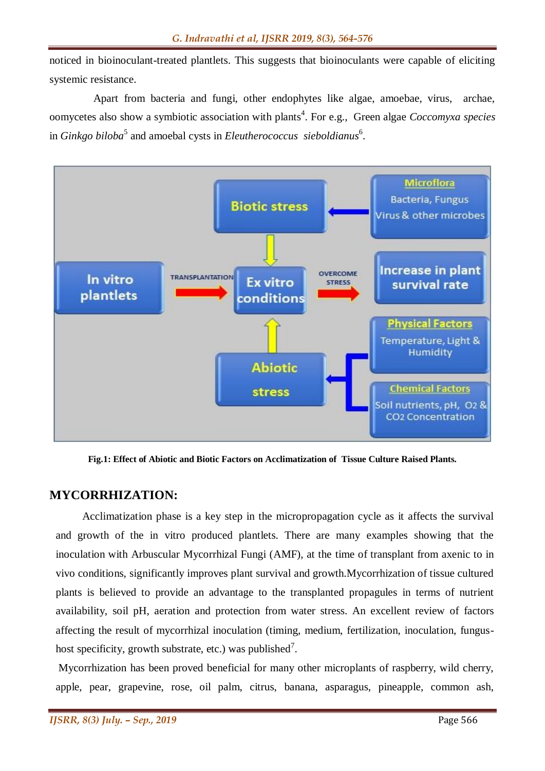noticed in bioinoculant-treated plantlets. This suggests that bioinoculants were capable of eliciting systemic resistance.

 Apart from bacteria and fungi, other endophytes like algae, amoebae, virus, archae, oomycetes also show a symbiotic association with plants<sup>4</sup>. For e.g., Green algae *Coccomyxa species* in *Ginkgo biloba*<sup>5</sup> and amoebal cysts in *Eleutherococcus sieboldianus*<sup>6</sup>.



**Fig.1: Effect of Abiotic and Biotic Factors on Acclimatization of Tissue Culture Raised Plants***.*

#### **MYCORRHIZATION:**

Acclimatization phase is a key step in the micropropagation cycle as it affects the survival and growth of the in vitro produced plantlets. There are many examples showing that the inoculation with Arbuscular Mycorrhizal Fungi (AMF), at the time of transplant from axenic to in vivo conditions, significantly improves plant survival and growth.Mycorrhization of tissue cultured plants is believed to provide an advantage to the transplanted propagules in terms of nutrient availability, soil pH, aeration and protection from water stress. An excellent review of factors affecting the result of mycorrhizal inoculation (timing, medium, fertilization, inoculation, fungushost specificity, growth substrate, etc.) was published<sup>7</sup>.

Mycorrhization has been proved beneficial for many other microplants of raspberry, wild cherry, apple, pear, grapevine, rose, oil palm, citrus, banana, asparagus, pineapple, common ash,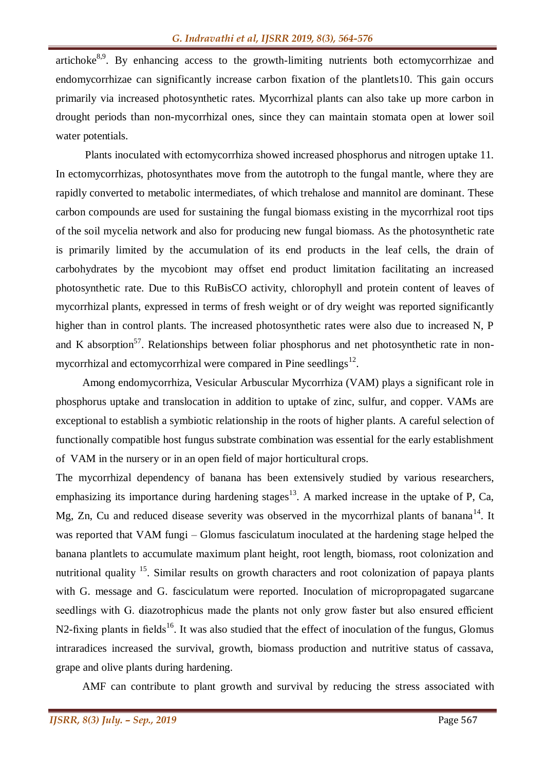artichoke $8.9$ . By enhancing access to the growth-limiting nutrients both ectomycorrhizae and endomycorrhizae can significantly increase carbon fixation of the plantlets10. This gain occurs primarily via increased photosynthetic rates. Mycorrhizal plants can also take up more carbon in drought periods than non-mycorrhizal ones, since they can maintain stomata open at lower soil water potentials.

Plants inoculated with ectomycorrhiza showed increased phosphorus and nitrogen uptake 11. In ectomycorrhizas, photosynthates move from the autotroph to the fungal mantle, where they are rapidly converted to metabolic intermediates, of which trehalose and mannitol are dominant. These carbon compounds are used for sustaining the fungal biomass existing in the mycorrhizal root tips of the soil mycelia network and also for producing new fungal biomass. As the photosynthetic rate is primarily limited by the accumulation of its end products in the leaf cells, the drain of carbohydrates by the mycobiont may offset end product limitation facilitating an increased photosynthetic rate. Due to this RuBisCO activity, chlorophyll and protein content of leaves of mycorrhizal plants, expressed in terms of fresh weight or of dry weight was reported significantly higher than in control plants. The increased photosynthetic rates were also due to increased N, P and K absorption<sup>57</sup>. Relationships between foliar phosphorus and net photosynthetic rate in nonmycorrhizal and ectomycorrhizal were compared in Pine seedlings<sup>12</sup>.

 Among endomycorrhiza, Vesicular Arbuscular Mycorrhiza (VAM) plays a significant role in phosphorus uptake and translocation in addition to uptake of zinc, sulfur, and copper. VAMs are exceptional to establish a symbiotic relationship in the roots of higher plants. A careful selection of functionally compatible host fungus substrate combination was essential for the early establishment of VAM in the nursery or in an open field of major horticultural crops.

The mycorrhizal dependency of banana has been extensively studied by various researchers, emphasizing its importance during hardening stages<sup>13</sup>. A marked increase in the uptake of P, Ca, Mg, Zn, Cu and reduced disease severity was observed in the mycorrhizal plants of banana<sup>14</sup>. It was reported that VAM fungi – Glomus fasciculatum inoculated at the hardening stage helped the banana plantlets to accumulate maximum plant height, root length, biomass, root colonization and nutritional quality  $15$ . Similar results on growth characters and root colonization of papaya plants with G. message and G. fasciculatum were reported. Inoculation of micropropagated sugarcane seedlings with G. diazotrophicus made the plants not only grow faster but also ensured efficient N2-fixing plants in fields<sup>16</sup>. It was also studied that the effect of inoculation of the fungus, Glomus intraradices increased the survival, growth, biomass production and nutritive status of cassava, grape and olive plants during hardening.

AMF can contribute to plant growth and survival by reducing the stress associated with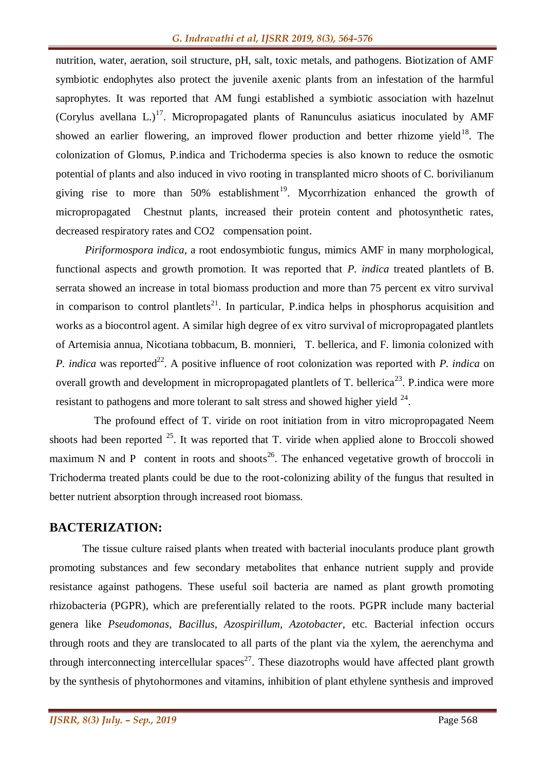nutrition, water, aeration, soil structure, pH, salt, toxic metals, and pathogens. Biotization of AMF symbiotic endophytes also protect the juvenile axenic plants from an infestation of the harmful saprophytes. It was reported that AM fungi established a symbiotic association with hazelnut (Corylus avellana L.)<sup>17</sup>. Micropropagated plants of Ranunculus asiaticus inoculated by AMF showed an earlier flowering, an improved flower production and better rhizome vield<sup>18</sup>. The colonization of Glomus, P.indica and Trichoderma species is also known to reduce the osmotic potential of plants and also induced in vivo rooting in transplanted micro shoots of C. borivilianum giving rise to more than  $50\%$  establishment<sup>19</sup>. Mycorrhization enhanced the growth of micropropagated Chestnut plants, increased their protein content and photosynthetic rates, decreased respiratory rates and CO2 compensation point.

*Piriformospora indica*, a root endosymbiotic fungus, mimics AMF in many morphological, functional aspects and growth promotion. It was reported that *P. indica* treated plantlets of B. serrata showed an increase in total biomass production and more than 75 percent ex vitro survival in comparison to control plantlets<sup>21</sup>. In particular, P. indica helps in phosphorus acquisition and works as a biocontrol agent. A similar high degree of ex vitro survival of micropropagated plantlets of Artemisia annua, Nicotiana tobbacum, B. monnieri, T. bellerica, and F. limonia colonized with *P. indica* was reported<sup>22</sup>. A positive influence of root colonization was reported with *P. indica* on overall growth and development in micropropagated plantlets of  $T$ . bellerica<sup>23</sup>. P.indica were more resistant to pathogens and more tolerant to salt stress and showed higher yield  $24$ .

 The profound effect of T. viride on root initiation from in vitro micropropagated Neem shoots had been reported  $^{25}$ . It was reported that T. viride when applied alone to Broccoli showed maximum N and P content in roots and shoots<sup>26</sup>. The enhanced vegetative growth of broccoli in Trichoderma treated plants could be due to the root-colonizing ability of the fungus that resulted in better nutrient absorption through increased root biomass.

### **BACTERIZATION:**

The tissue culture raised plants when treated with bacterial inoculants produce plant growth promoting substances and few secondary metabolites that enhance nutrient supply and provide resistance against pathogens. These useful soil bacteria are named as plant growth promoting rhizobacteria (PGPR), which are preferentially related to the roots. PGPR include many bacterial genera like *Pseudomonas, Bacillus, Azospirillum, Azotobacter*, etc. Bacterial infection occurs through roots and they are translocated to all parts of the plant via the xylem, the aerenchyma and through interconnecting intercellular spaces<sup>27</sup>. These diazotrophs would have affected plant growth by the synthesis of phytohormones and vitamins, inhibition of plant ethylene synthesis and improved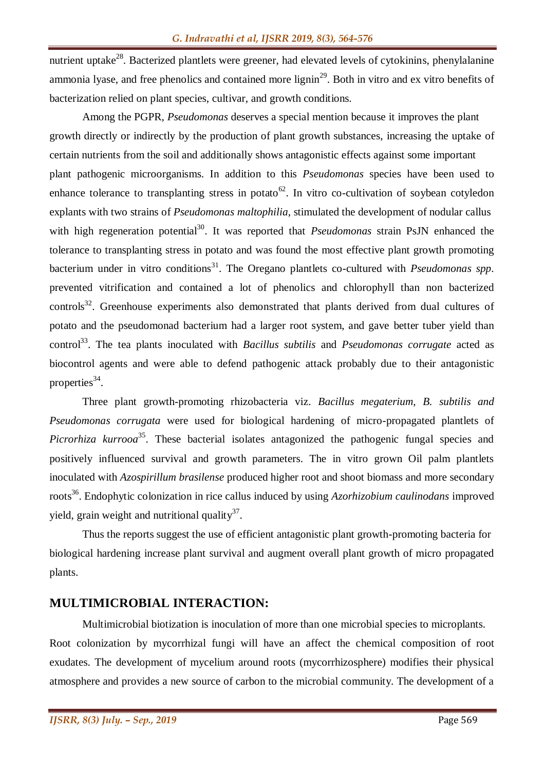nutrient uptake<sup>28</sup>. Bacterized plantlets were greener, had elevated levels of cytokinins, phenylalanine ammonia lyase, and free phenolics and contained more lignin<sup>29</sup>. Both in vitro and ex vitro benefits of bacterization relied on plant species, cultivar, and growth conditions.

Among the PGPR, *Pseudomonas* deserves a special mention because it improves the plant growth directly or indirectly by the production of plant growth substances, increasing the uptake of certain nutrients from the soil and additionally shows antagonistic effects against some important plant pathogenic microorganisms. In addition to this *Pseudomonas* species have been used to enhance tolerance to transplanting stress in potato<sup>62</sup>. In vitro co-cultivation of soybean cotyledon explants with two strains of *Pseudomonas maltophilia*, stimulated the development of nodular callus with high regeneration potential<sup>30</sup>. It was reported that *Pseudomonas* strain PsJN enhanced the tolerance to transplanting stress in potato and was found the most effective plant growth promoting bacterium under in vitro conditions<sup>31</sup>. The Oregano plantlets co-cultured with *Pseudomonas spp*. prevented vitrification and contained a lot of phenolics and chlorophyll than non bacterized controls<sup>32</sup>. Greenhouse experiments also demonstrated that plants derived from dual cultures of potato and the pseudomonad bacterium had a larger root system, and gave better tuber yield than control<sup>33</sup>. The tea plants inoculated with *Bacillus subtilis* and *Pseudomonas corrugate* acted as biocontrol agents and were able to defend pathogenic attack probably due to their antagonistic properties<sup>34</sup>.

Three plant growth-promoting rhizobacteria viz. *Bacillus megaterium, B. subtilis and Pseudomonas corrugata* were used for biological hardening of micro-propagated plantlets of *Picrorhiza kurrooa*<sup>35</sup>. These bacterial isolates antagonized the pathogenic fungal species and positively influenced survival and growth parameters. The in vitro grown Oil palm plantlets inoculated with *Azospirillum brasilense* produced higher root and shoot biomass and more secondary roots<sup>36</sup>. Endophytic colonization in rice callus induced by using *Azorhizobium caulinodans* improved yield, grain weight and nutritional quality<sup>37</sup>.

Thus the reports suggest the use of efficient antagonistic plant growth-promoting bacteria for biological hardening increase plant survival and augment overall plant growth of micro propagated plants.

#### **MULTIMICROBIAL INTERACTION:**

Multimicrobial biotization is inoculation of more than one microbial species to microplants. Root colonization by mycorrhizal fungi will have an affect the chemical composition of root exudates. The development of mycelium around roots (mycorrhizosphere) modifies their physical atmosphere and provides a new source of carbon to the microbial community. The development of a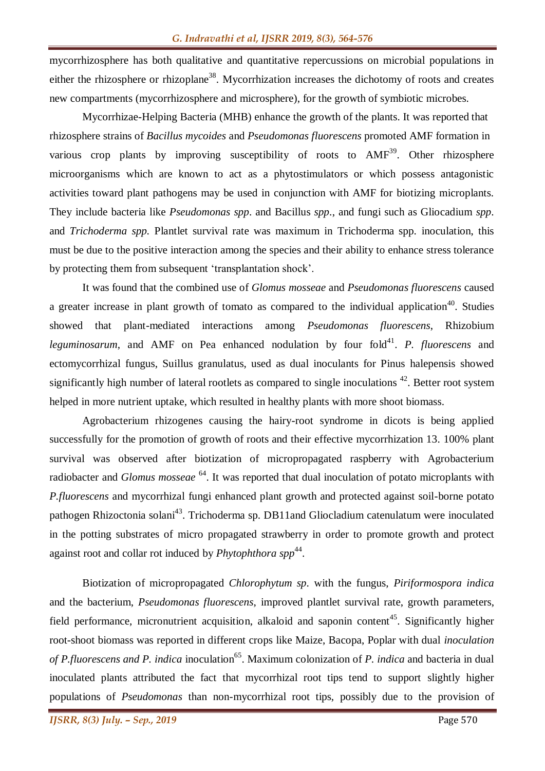mycorrhizosphere has both qualitative and quantitative repercussions on microbial populations in either the rhizosphere or rhizoplane<sup>38</sup>. Mycorrhization increases the dichotomy of roots and creates new compartments (mycorrhizosphere and microsphere), for the growth of symbiotic microbes.

Mycorrhizae-Helping Bacteria (MHB) enhance the growth of the plants. It was reported that rhizosphere strains of *Bacillus mycoides* and *Pseudomonas fluorescens* promoted AMF formation in various crop plants by improving susceptibility of roots to  $AMF<sup>39</sup>$ . Other rhizosphere microorganisms which are known to act as a phytostimulators or which possess antagonistic activities toward plant pathogens may be used in conjunction with AMF for biotizing microplants. They include bacteria like *Pseudomonas spp*. and Bacillus *spp*., and fungi such as Gliocadium *spp*. and *Trichoderma spp.* Plantlet survival rate was maximum in Trichoderma spp. inoculation, this must be due to the positive interaction among the species and their ability to enhance stress tolerance by protecting them from subsequent 'transplantation shock'.

It was found that the combined use of *Glomus mosseae* and *Pseudomonas fluorescens* caused a greater increase in plant growth of tomato as compared to the individual application<sup>40</sup>. Studies showed that plant-mediated interactions among *Pseudomonas fluorescens*, Rhizobium leguminosarum, and AMF on Pea enhanced nodulation by four fold<sup>41</sup>. P. fluorescens and ectomycorrhizal fungus, Suillus granulatus, used as dual inoculants for Pinus halepensis showed significantly high number of lateral rootlets as compared to single inoculations  $42$ . Better root system helped in more nutrient uptake, which resulted in healthy plants with more shoot biomass.

Agrobacterium rhizogenes causing the hairy-root syndrome in dicots is being applied successfully for the promotion of growth of roots and their effective mycorrhization 13. 100% plant survival was observed after biotization of micropropagated raspberry with Agrobacterium radiobacter and *Glomus mosseae* <sup>64</sup> . It was reported that dual inoculation of potato microplants with *P.fluorescens* and mycorrhizal fungi enhanced plant growth and protected against soil-borne potato pathogen Rhizoctonia solani<sup>43</sup>. Trichoderma sp. DB11and Gliocladium catenulatum were inoculated in the potting substrates of micro propagated strawberry in order to promote growth and protect against root and collar rot induced by *Phytophthora spp*<sup>44</sup>.

Biotization of micropropagated *Chlorophytum sp.* with the fungus, *Piriformospora indica* and the bacterium, *Pseudomonas fluorescens*, improved plantlet survival rate, growth parameters, field performance, micronutrient acquisition, alkaloid and saponin content<sup>45</sup>. Significantly higher root-shoot biomass was reported in different crops like Maize, Bacopa, Poplar with dual *inoculation of P.fluorescens and P. indica* inoculation<sup>65</sup>. Maximum colonization of *P. indica* and bacteria in dual inoculated plants attributed the fact that mycorrhizal root tips tend to support slightly higher populations of *Pseudomonas* than non-mycorrhizal root tips, possibly due to the provision of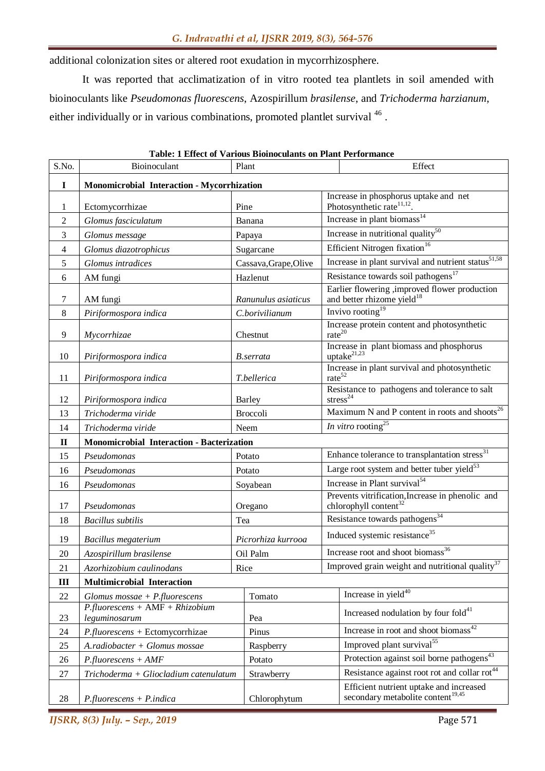additional colonization sites or altered root exudation in mycorrhizosphere.

It was reported that acclimatization of in vitro rooted tea plantlets in soil amended with bioinoculants like *Pseudomonas fluorescens*, Azospirillum *brasilense*, and *Trichoderma harzianum*, either individually or in various combinations, promoted plantlet survival  $^{46}$ .

| S.No.        | Bioinoculant                                        | Plant                 |  | Effect                                                                                   |  |  |
|--------------|-----------------------------------------------------|-----------------------|--|------------------------------------------------------------------------------------------|--|--|
| I            | Monomicrobial Interaction - Mycorrhization          |                       |  |                                                                                          |  |  |
|              |                                                     |                       |  | Increase in phosphorus uptake and net<br>Photosynthetic rate $\real^{11,12}.$            |  |  |
| 1            | Ectomycorrhizae                                     | Pine                  |  |                                                                                          |  |  |
| 2            | Glomus fasciculatum                                 | Banana                |  | Increase in plant biomass <sup>14</sup>                                                  |  |  |
| 3            | Glomus message                                      | Papaya                |  | Increase in nutritional quality $^{50}$                                                  |  |  |
| 4            | Glomus diazotrophicus                               | Sugarcane             |  | Efficient Nitrogen fixation <sup>16</sup>                                                |  |  |
| 5            | Glomus intradices                                   | Cassava, Grape, Olive |  | Increase in plant survival and nutrient status <sup>51,58</sup>                          |  |  |
| 6            | AM fungi                                            | Hazlenut              |  | Resistance towards soil pathogens <sup>17</sup>                                          |  |  |
| 7            | AM fungi                                            | Ranunulus asiaticus   |  | Earlier flowering ,improved flower production<br>and better rhizome yield <sup>18</sup>  |  |  |
| 8            | Piriformospora indica                               | C.borivilianum        |  | Invivo rooting <sup>19</sup>                                                             |  |  |
| 9            | Mycorrhizae                                         | Chestnut              |  | Increase protein content and photosynthetic<br>rate <sup>20</sup>                        |  |  |
| 10           | Piriformospora indica                               | B.serrata             |  | Increase in plant biomass and phosphorus<br>uptake <sup>21,23</sup>                      |  |  |
| 11           | Piriformospora indica                               | T.bellerica           |  | Increase in plant survival and photosynthetic rate $52$                                  |  |  |
| 12           | Piriformospora indica                               | <b>Barley</b>         |  | Resistance to pathogens and tolerance to salt<br>stress <sup>24</sup>                    |  |  |
| 13           | Trichoderma viride                                  | <b>Broccoli</b>       |  | Maximum N and P content in roots and shoots <sup>26</sup>                                |  |  |
| 14           | Trichoderma viride                                  | Neem                  |  | In vitro rooting <sup>25</sup>                                                           |  |  |
| $\mathbf{I}$ | Monomicrobial Interaction - Bacterization           |                       |  |                                                                                          |  |  |
| 15           | Pseudomonas                                         | Potato                |  | Enhance tolerance to transplantation stress <sup>31</sup>                                |  |  |
| 16           | Pseudomonas                                         | Potato                |  | Large root system and better tuber yield <sup>53</sup>                                   |  |  |
| 16           | Pseudomonas                                         | Soyabean              |  | Increase in Plant survival <sup>54</sup>                                                 |  |  |
| 17           | Pseudomonas                                         | Oregano               |  | Prevents vitrification, Increase in phenolic and<br>chlorophyll content <sup>32</sup>    |  |  |
| 18           | <b>Bacillus</b> subtilis                            | Tea                   |  | Resistance towards pathogens <sup>34</sup>                                               |  |  |
| 19           | Bacillus megaterium                                 | Picrorhiza kurrooa    |  | Induced systemic resistance <sup>35</sup>                                                |  |  |
| 20           | Azospirillum brasilense                             | Oil Palm              |  | Increase root and shoot biomass <sup>36</sup>                                            |  |  |
| 21           | Azorhizobium caulinodans                            | Rice                  |  | Improved grain weight and nutritional quality $37$                                       |  |  |
| Ш            | <b>Multimicrobial Interaction</b>                   |                       |  |                                                                                          |  |  |
| 22           | Glomus mossae + $P$ .fluorescens                    | Tomato                |  | Increase in yield $40$                                                                   |  |  |
| 23           | $P$ .fluorescens + AMF + Rhizobium<br>leguminosarum | Pea                   |  | Increased nodulation by four fold <sup>41</sup>                                          |  |  |
| 24           | P.fluorescens + Ectomycorrhizae                     | Pinus                 |  | Increase in root and shoot biomass <sup>42</sup>                                         |  |  |
| 25           | A.radiobacter + Glomus mossae                       | Raspberry             |  | Improved plant survival <sup>55</sup>                                                    |  |  |
| 26           | $P$ : fluorescens + AMF                             | Potato                |  | Protection against soil borne pathogens <sup>43</sup>                                    |  |  |
| $27\,$       | Trichoderma + Gliocladium catenulatum               | Strawberry            |  | Resistance against root rot and collar rot <sup>44</sup>                                 |  |  |
| 28           | $P$ : fluorescens + $P$ : indica                    | Chlorophytum          |  | Efficient nutrient uptake and increased<br>secondary metabolite content <sup>19,45</sup> |  |  |

**Table: 1 Effect of Various Bioinoculants on Plant Performance**

*IJSRR, 8(3) July. – Sep., 2019* Page 571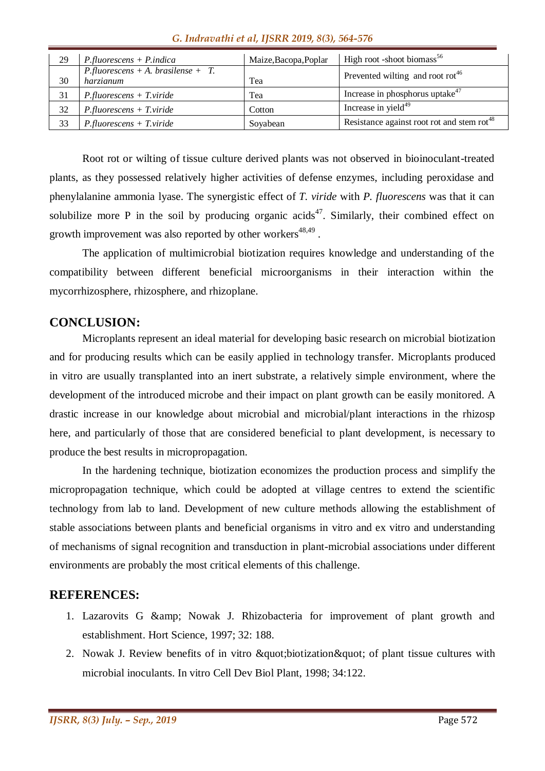| 29 | $P$ <i>fluorescens</i> + $P$ <i><i>indica</i></i>   | Maize, Bacopa, Poplar | High root -shoot biomass <sup>56</sup>                 |
|----|-----------------------------------------------------|-----------------------|--------------------------------------------------------|
| 30 | $P$ : fluorescens + A. brasilense + T.<br>harzianum | Tea                   | Prevented wilting and root rot <sup>46</sup>           |
| 31 | $P$ <i>fluorescens</i> + $T$ <i>, viride</i>        | Tea                   | Increase in phosphorus uptake $47$                     |
| 32 | $P$ <i>fluorescens</i> + $T$ <i>, viride</i>        | Cotton                | Increase in yield $49$                                 |
| 33 | $P$ <i>fluorescens</i> + $T$ <i>, viride</i>        | Soyabean              | Resistance against root rot and stem rot <sup>48</sup> |

#### *G. Indravathi et al, IJSRR 2019, 8(3), 564-576*

Root rot or wilting of tissue culture derived plants was not observed in bioinoculant-treated plants, as they possessed relatively higher activities of defense enzymes, including peroxidase and phenylalanine ammonia lyase. The synergistic effect of *T. viride* with *P. fluorescens* was that it can solubilize more P in the soil by producing organic acids<sup>47</sup>. Similarly, their combined effect on growth improvement was also reported by other workers<sup>48,49</sup>.

The application of multimicrobial biotization requires knowledge and understanding of the compatibility between different beneficial microorganisms in their interaction within the mycorrhizosphere, rhizosphere, and rhizoplane.

#### **CONCLUSION:**

Microplants represent an ideal material for developing basic research on microbial biotization and for producing results which can be easily applied in technology transfer. Microplants produced in vitro are usually transplanted into an inert substrate, a relatively simple environment, where the development of the introduced microbe and their impact on plant growth can be easily monitored. A drastic increase in our knowledge about microbial and microbial/plant interactions in the rhizosp here, and particularly of those that are considered beneficial to plant development, is necessary to produce the best results in micropropagation.

In the hardening technique, biotization economizes the production process and simplify the micropropagation technique, which could be adopted at village centres to extend the scientific technology from lab to land. Development of new culture methods allowing the establishment of stable associations between plants and beneficial organisms in vitro and ex vitro and understanding of mechanisms of signal recognition and transduction in plant-microbial associations under different environments are probably the most critical elements of this challenge.

#### **REFERENCES:**

- 1. Lazarovits G & amp: Nowak J. Rhizobacteria for improvement of plant growth and establishment. Hort Science, 1997; 32: 188.
- 2. Nowak J. Review benefits of in vitro  $\&$  quot; biotization  $\&$  quot; of plant tissue cultures with microbial inoculants. In vitro Cell Dev Biol Plant, 1998; 34:122.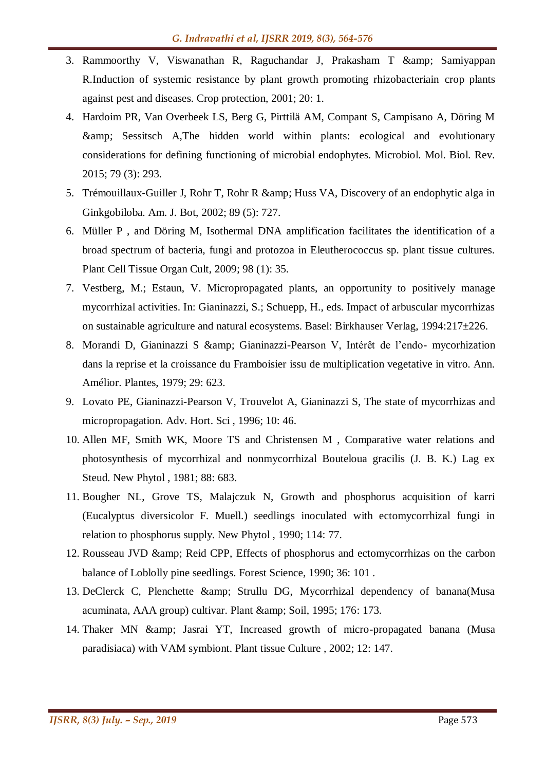- 3. Rammoorthy V, Viswanathan R, Raguchandar J, Prakasham T & Samp; Samiyappan R.Induction of systemic resistance by plant growth promoting rhizobacteriain crop plants against pest and diseases. Crop protection, 2001; 20: 1.
- 4. Hardoim PR, Van Overbeek LS, Berg G, Pirttilä AM, Compant S, Campisano A, Döring M & Sessitsch A,The hidden world within plants: ecological and evolutionary considerations for defining functioning of microbial endophytes. Microbiol. Mol. Biol. Rev. 2015; 79 (3): 293.
- 5. Trémouillaux-Guiller J, Rohr T, Rohr R & amp; Huss VA, Discovery of an endophytic alga in Ginkgobiloba. Am. J. Bot, 2002; 89 (5): 727.
- 6. Müller P , and Döring M, Isothermal DNA amplification facilitates the identification of a broad spectrum of bacteria, fungi and protozoa in Eleutherococcus sp. plant tissue cultures. Plant Cell Tissue Organ Cult, 2009; 98 (1): 35.
- 7. Vestberg, M.; Estaun, V. Micropropagated plants, an opportunity to positively manage mycorrhizal activities. In: Gianinazzi, S.; Schuepp, H., eds. Impact of arbuscular mycorrhizas on sustainable agriculture and natural ecosystems. Basel: Birkhauser Verlag, 1994:217±226.
- 8. Morandi D, Gianinazzi S & amp; Gianinazzi-Pearson V, Intérêt de l'endo- mycorhization dans la reprise et la croissance du Framboisier issu de multiplication vegetative in vitro. Ann. Amélior. Plantes, 1979; 29: 623.
- 9. Lovato PE, Gianinazzi-Pearson V, Trouvelot A, Gianinazzi S, The state of mycorrhizas and micropropagation. Adv. Hort. Sci , 1996; 10: 46.
- 10. Allen MF, Smith WK, Moore TS and Christensen M , Comparative water relations and photosynthesis of mycorrhizal and nonmycorrhizal Bouteloua gracilis (J. B. K.) Lag ex Steud. New Phytol , 1981; 88: 683.
- 11. Bougher NL, Grove TS, Malajczuk N, Growth and phosphorus acquisition of karri (Eucalyptus diversicolor F. Muell.) seedlings inoculated with ectomycorrhizal fungi in relation to phosphorus supply. New Phytol , 1990; 114: 77.
- 12. Rousseau JVD & amp; Reid CPP, Effects of phosphorus and ectomycorrhizas on the carbon balance of Loblolly pine seedlings. Forest Science, 1990; 36: 101 .
- 13. DeClerck C, Plenchette & amp; Strullu DG, Mycorrhizal dependency of banana (Musa) acuminata, AAA group) cultivar. Plant & amp; Soil, 1995; 176: 173.
- 14. Thaker MN & amp; Jasrai YT, Increased growth of micro-propagated banana (Musa) paradisiaca) with VAM symbiont. Plant tissue Culture , 2002; 12: 147.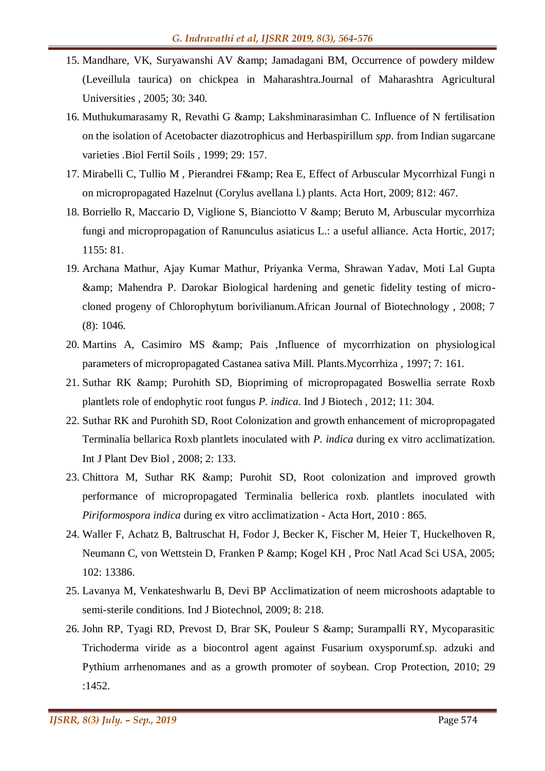- 15. Mandhare, VK, Suryawanshi AV & amp; Jamadagani BM, Occurrence of powdery mildew (Leveillula taurica) on chickpea in Maharashtra.Journal of Maharashtra Agricultural Universities , 2005; 30: 340.
- 16. Muthukumarasamy R, Revathi G & amp; Lakshminarasimhan C. Influence of N fertilisation on the isolation of Acetobacter diazotrophicus and Herbaspirillum *spp*. from Indian sugarcane varieties .Biol Fertil Soils , 1999; 29: 157.
- 17. Mirabelli C, Tullio M, Pierandrei F& Rea E, Effect of Arbuscular Mycorrhizal Fungi n on micropropagated Hazelnut (Corylus avellana l.) plants. Acta Hort, 2009; 812: 467.
- 18. Borriello R, Maccario D, Viglione S, Bianciotto V & amp; Beruto M, Arbuscular mycorrhiza fungi and micropropagation of Ranunculus asiaticus L.: a useful alliance. Acta Hortic, 2017; 1155: 81.
- 19. Archana Mathur, Ajay Kumar Mathur, Priyanka Verma, Shrawan Yadav, Moti Lal Gupta & Mahendra P. Darokar Biological hardening and genetic fidelity testing of microcloned progeny of Chlorophytum borivilianum.African Journal of Biotechnology , 2008; 7 (8): 1046.
- 20. Martins A, Casimiro MS & amp; Pais ,Influence of mycorrhization on physiological parameters of micropropagated Castanea sativa Mill. Plants.Mycorrhiza , 1997; 7: 161.
- 21. Suthar RK & amp; Purohith SD, Biopriming of micropropagated Boswellia serrate Roxb plantlets role of endophytic root fungus *P. indica*. Ind J Biotech , 2012; 11: 304.
- 22. Suthar RK and Purohith SD, Root Colonization and growth enhancement of micropropagated Terminalia bellarica Roxb plantlets inoculated with *P. indica* during ex vitro acclimatization. Int J Plant Dev Biol , 2008; 2: 133.
- 23. Chittora M, Suthar RK & amp; Purohit SD, Root colonization and improved growth performance of micropropagated Terminalia bellerica roxb. plantlets inoculated with *Piriformospora indica* during ex vitro acclimatization - Acta Hort, 2010 : 865.
- 24. Waller F, Achatz B, Baltruschat H, Fodor J, Becker K, Fischer M, Heier T, Huckelhoven R, Neumann C, von Wettstein D, Franken P & amp; Kogel KH, Proc Natl Acad Sci USA, 2005; 102: 13386.
- 25. Lavanya M, Venkateshwarlu B, Devi BP Acclimatization of neem microshoots adaptable to semi-sterile conditions. Ind J Biotechnol, 2009; 8: 218.
- 26. John RP, Tyagi RD, Prevost D, Brar SK, Pouleur S & amp; Surampalli RY, Mycoparasitic Trichoderma viride as a biocontrol agent against Fusarium oxysporumf.sp. adzuki and Pythium arrhenomanes and as a growth promoter of soybean. Crop Protection, 2010; 29 :1452.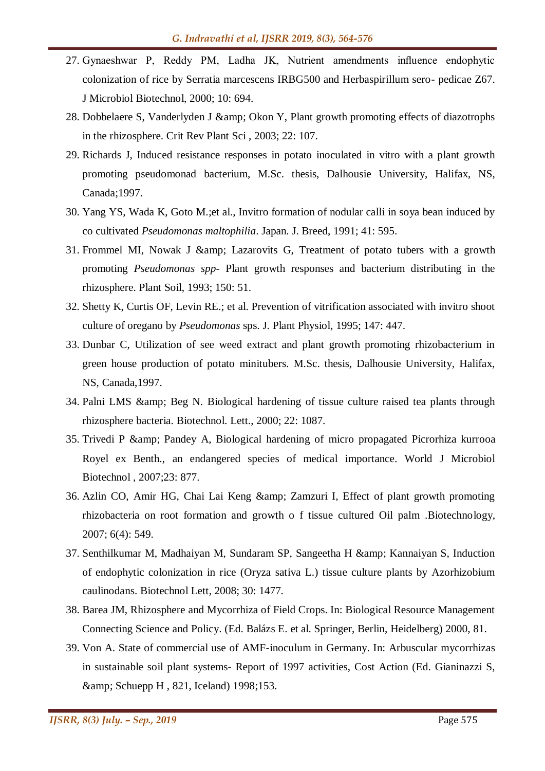- 27. Gynaeshwar P, Reddy PM, Ladha JK, Nutrient amendments influence endophytic colonization of rice by Serratia marcescens IRBG500 and Herbaspirillum sero- pedicae Z67. J Microbiol Biotechnol, 2000; 10: 694.
- 28. Dobbelaere S, Vanderlyden J & amp; Okon Y, Plant growth promoting effects of diazotrophs in the rhizosphere. Crit Rev Plant Sci , 2003; 22: 107.
- 29. Richards J, Induced resistance responses in potato inoculated in vitro with a plant growth promoting pseudomonad bacterium, M.Sc. thesis, Dalhousie University, Halifax, NS, Canada;1997.
- 30. Yang YS, Wada K, Goto M.;et al., Invitro formation of nodular calli in soya bean induced by co cultivated *Pseudomonas maltophilia*. Japan. J. Breed, 1991; 41: 595.
- 31. Frommel MI, Nowak J & amp; Lazarovits G, Treatment of potato tubers with a growth promoting *Pseudomonas spp*- Plant growth responses and bacterium distributing in the rhizosphere. Plant Soil, 1993; 150: 51.
- 32. Shetty K, Curtis OF, Levin RE.; et al. Prevention of vitrification associated with invitro shoot culture of oregano by *Pseudomonas* sps. J. Plant Physiol, 1995; 147: 447.
- 33. Dunbar C, Utilization of see weed extract and plant growth promoting rhizobacterium in green house production of potato minitubers. M.Sc. thesis, Dalhousie University, Halifax, NS, Canada,1997.
- 34. Palni LMS & amp; Beg N. Biological hardening of tissue culture raised tea plants through rhizosphere bacteria. Biotechnol. Lett., 2000; 22: 1087.
- 35. Trivedi P & amp; Pandey A, Biological hardening of micro propagated Picrorhiza kurrooa Royel ex Benth., an endangered species of medical importance. World J Microbiol Biotechnol , 2007;23: 877.
- 36. Azlin CO, Amir HG, Chai Lai Keng & amp; Zamzuri I, Effect of plant growth promoting rhizobacteria on root formation and growth o f tissue cultured Oil palm .Biotechnology, 2007; 6(4): 549.
- 37. Senthilkumar M, Madhaiyan M, Sundaram SP, Sangeetha H & amp; Kannaiyan S, Induction of endophytic colonization in rice (Oryza sativa L.) tissue culture plants by Azorhizobium caulinodans. Biotechnol Lett, 2008; 30: 1477.
- 38. Barea JM, Rhizosphere and Mycorrhiza of Field Crops. In: Biological Resource Management Connecting Science and Policy. (Ed. Balázs E. et al. Springer, Berlin, Heidelberg) 2000, 81.
- 39. Von A. State of commercial use of AMF-inoculum in Germany. In: Arbuscular mycorrhizas in sustainable soil plant systems- Report of 1997 activities, Cost Action (Ed. Gianinazzi S, & Schuepp H , 821, Iceland) 1998;153.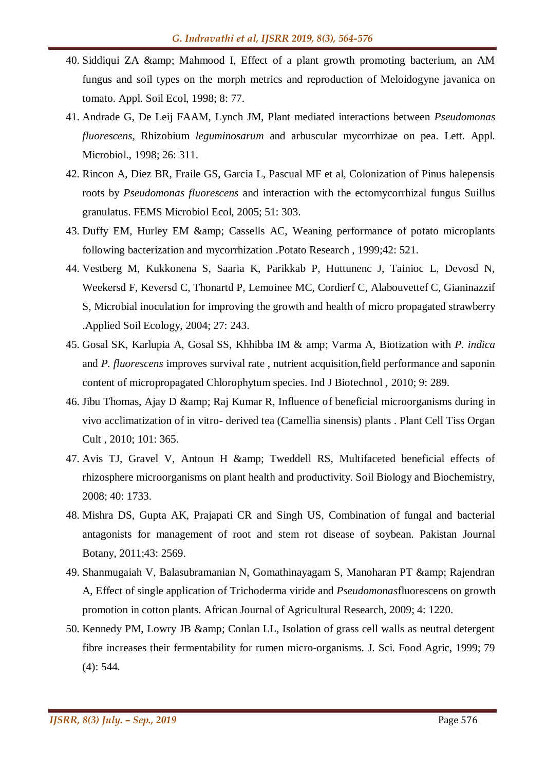- 40. Siddiqui ZA & amp; Mahmood I, Effect of a plant growth promoting bacterium, an AM fungus and soil types on the morph metrics and reproduction of Meloidogyne javanica on tomato. Appl. Soil Ecol, 1998; 8: 77.
- 41. Andrade G, De Leij FAAM, Lynch JM, Plant mediated interactions between *Pseudomonas fluorescens*, Rhizobium *leguminosarum* and arbuscular mycorrhizae on pea. Lett. Appl. Microbiol., 1998; 26: 311.
- 42. Rincon A, Diez BR, Fraile GS, Garcia L, Pascual MF et al, Colonization of Pinus halepensis roots by *Pseudomonas fluorescens* and interaction with the ectomycorrhizal fungus Suillus granulatus. FEMS Microbiol Ecol, 2005; 51: 303.
- 43. Duffy EM, Hurley EM & amp; Cassells AC, Weaning performance of potato microplants following bacterization and mycorrhization .Potato Research , 1999;42: 521.
- 44. Vestberg M, Kukkonena S, Saaria K, Parikkab P, Huttunenc J, Tainioc L, Devosd N, Weekersd F, Keversd C, Thonartd P, Lemoinee MC, Cordierf C, Alabouvettef C, Gianinazzif S, Microbial inoculation for improving the growth and health of micro propagated strawberry .Applied Soil Ecology, 2004; 27: 243.
- 45. Gosal SK, Karlupia A, Gosal SS, Khhibba IM & amp; Varma A, Biotization with *P. indica* and *P. fluorescens* improves survival rate , nutrient acquisition,field performance and saponin content of micropropagated Chlorophytum species. Ind J Biotechnol , 2010; 9: 289.
- 46. Jibu Thomas, Ajay D & amp; Raj Kumar R, Influence of beneficial microorganisms during in vivo acclimatization of in vitro- derived tea (Camellia sinensis) plants . Plant Cell Tiss Organ Cult , 2010; 101: 365.
- 47. Avis TJ, Gravel V, Antoun H & amp; Tweddell RS, Multifaceted beneficial effects of rhizosphere microorganisms on plant health and productivity. Soil Biology and Biochemistry, 2008; 40: 1733.
- 48. Mishra DS, Gupta AK, Prajapati CR and Singh US, Combination of fungal and bacterial antagonists for management of root and stem rot disease of soybean. Pakistan Journal Botany, 2011;43: 2569.
- 49. Shanmugaiah V, Balasubramanian N, Gomathinayagam S, Manoharan PT & amp; Rajendran A, Effect of single application of Trichoderma viride and *Pseudomonas*fluorescens on growth promotion in cotton plants. African Journal of Agricultural Research, 2009; 4: 1220.
- 50. Kennedy PM, Lowry JB & amp; Conlan LL, Isolation of grass cell walls as neutral detergent fibre increases their fermentability for rumen micro-organisms. J. Sci. Food Agric, 1999; 79 (4): 544.